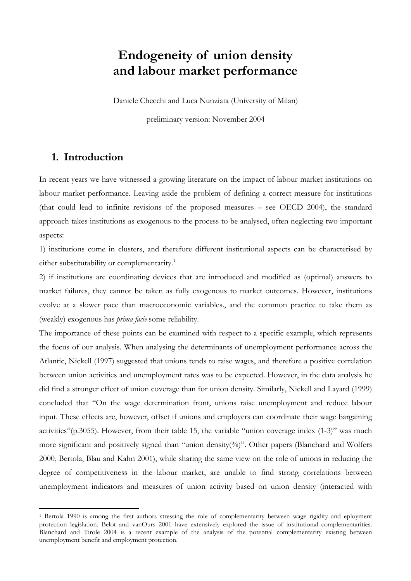# **Endogeneity of union density and labour market performance**

Daniele Checchi and Luca Nunziata (University of Milan)

preliminary version: November 2004

### **1. Introduction**

 $\overline{a}$ 

In recent years we have witnessed a growing literature on the impact of labour market institutions on labour market performance. Leaving aside the problem of defining a correct measure for institutions (that could lead to infinite revisions of the proposed measures – see OECD 2004), the standard approach takes institutions as exogenous to the process to be analysed, often neglecting two important aspects:

1) institutions come in clusters, and therefore different institutional aspects can be characterised by either substitutability or complementarity.<sup>1</sup>

2) if institutions are coordinating devices that are introduced and modified as (optimal) answers to market failures, they cannot be taken as fully exogenous to market outcomes. However, institutions evolve at a slower pace than macroeconomic variables., and the common practice to take them as (weakly) exogenous has *prima facie* some reliability.

The importance of these points can be examined with respect to a specific example, which represents the focus of our analysis. When analysing the determinants of unemployment performance across the Atlantic, Nickell (1997) suggested that unions tends to raise wages, and therefore a positive correlation between union activities and unemployment rates was to be expected. However, in the data analysis he did find a stronger effect of union coverage than for union density. Similarly, Nickell and Layard (1999) concluded that "On the wage determination front, unions raise unemployment and reduce labour input. These effects are, however, offset if unions and employers can coordinate their wage bargaining activities"(p.3055). However, from their table 15, the variable "union coverage index (1-3)" was much more significant and positively signed than "union density(%)". Other papers (Blanchard and Wolfers 2000, Bertola, Blau and Kahn 2001), while sharing the same view on the role of unions in reducing the degree of competitiveness in the labour market, are unable to find strong correlations between unemployment indicators and measures of union activity based on union density (interacted with

<sup>1</sup> Bertola 1990 is among the first authors stressing the role of complementarity between wage rigidity and eployment protection legislation. Belot and vanOurs 2001 have extensively explored the issue of institutional complementarities. Blanchard and Tirole 2004 is a recent example of the analysis of the potential complementarity existing between unemployment benefit and employment protection.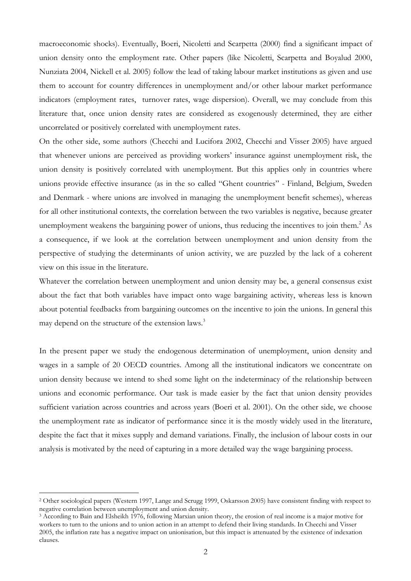macroeconomic shocks). Eventually, Boeri, Nicoletti and Scarpetta (2000) find a significant impact of union density onto the employment rate. Other papers (like Nicoletti, Scarpetta and Boyalud 2000, Nunziata 2004, Nickell et al. 2005) follow the lead of taking labour market institutions as given and use them to account for country differences in unemployment and/or other labour market performance indicators (employment rates, turnover rates, wage dispersion). Overall, we may conclude from this literature that, once union density rates are considered as exogenously determined, they are either uncorrelated or positively correlated with unemployment rates.

On the other side, some authors (Checchi and Lucifora 2002, Checchi and Visser 2005) have argued that whenever unions are perceived as providing workers' insurance against unemployment risk, the union density is positively correlated with unemployment. But this applies only in countries where unions provide effective insurance (as in the so called "Ghent countries" - Finland, Belgium, Sweden and Denmark - where unions are involved in managing the unemployment benefit schemes), whereas for all other institutional contexts, the correlation between the two variables is negative, because greater unemployment weakens the bargaining power of unions, thus reducing the incentives to join them.<sup>2</sup> As a consequence, if we look at the correlation between unemployment and union density from the perspective of studying the determinants of union activity, we are puzzled by the lack of a coherent view on this issue in the literature.

Whatever the correlation between unemployment and union density may be, a general consensus exist about the fact that both variables have impact onto wage bargaining activity, whereas less is known about potential feedbacks from bargaining outcomes on the incentive to join the unions. In general this may depend on the structure of the extension laws.<sup>3</sup>

In the present paper we study the endogenous determination of unemployment, union density and wages in a sample of 20 OECD countries. Among all the institutional indicators we concentrate on union density because we intend to shed some light on the indeterminacy of the relationship between unions and economic performance. Our task is made easier by the fact that union density provides sufficient variation across countries and across years (Boeri et al. 2001). On the other side, we choose the unemployment rate as indicator of performance since it is the mostly widely used in the literature, despite the fact that it mixes supply and demand variations. Finally, the inclusion of labour costs in our analysis is motivated by the need of capturing in a more detailed way the wage bargaining process.

<sup>2</sup> Other sociological papers (Western 1997, Lange and Scrugg 1999, Oskarsson 2005) have consistent finding with respect to negative correlation between unemployment and union density.<br><sup>3</sup> According to Bain and Elsheikh 1976, following Marxian union theory, the erosion of real income is a major motive for

workers to turn to the unions and to union action in an attempt to defend their living standards. In Checchi and Visser 2005, the inflation rate has a negative impact on unionisation, but this impact is attenuated by the existence of indexation clauses.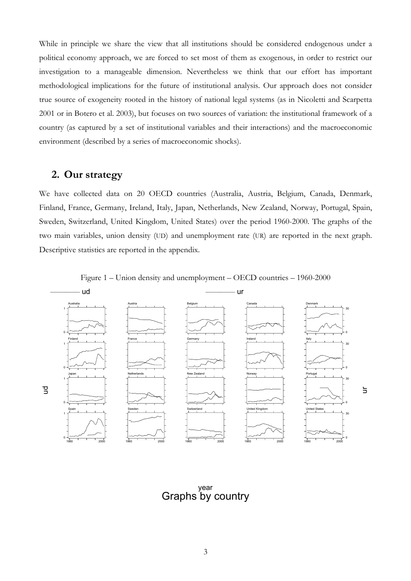While in principle we share the view that all institutions should be considered endogenous under a political economy approach, we are forced to set most of them as exogenous, in order to restrict our investigation to a manageable dimension. Nevertheless we think that our effort has important methodological implications for the future of institutional analysis. Our approach does not consider true source of exogeneity rooted in the history of national legal systems (as in Nicoletti and Scarpetta 2001 or in Botero et al. 2003), but focuses on two sources of variation: the institutional framework of a country (as captured by a set of institutional variables and their interactions) and the macroeconomic environment (described by a series of macroeconomic shocks).

### **2. Our strategy**

We have collected data on 20 OECD countries (Australia, Austria, Belgium, Canada, Denmark, Finland, France, Germany, Ireland, Italy, Japan, Netherlands, New Zealand, Norway, Portugal, Spain, Sweden, Switzerland, United Kingdom, United States) over the period 1960-2000. The graphs of the two main variables, union density (UD) and unemployment rate (UR) are reported in the next graph. Descriptive statistics are reported in the appendix.



ur

Figure 1 – Union density and unemployment – OECD countries – 1960-2000

Graphs by country year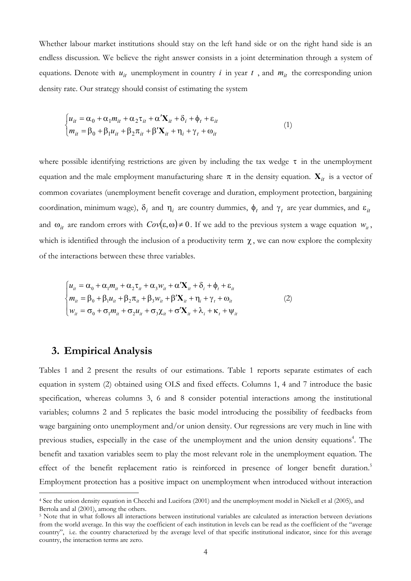Whether labour market institutions should stay on the left hand side or on the right hand side is an endless discussion. We believe the right answer consists in a joint determination through a system of equations. Denote with  $u_{it}$  unemployment in country *i* in year *t*, and  $m_{it}$  the corresponding union density rate. Our strategy should consist of estimating the system

$$
\begin{cases}\n u_{it} = \alpha_0 + \alpha_1 m_{it} + \alpha_2 \tau_{it} + \alpha' \mathbf{X}_{it} + \delta_i + \phi_t + \varepsilon_{it} \\
m_{it} = \beta_0 + \beta_1 u_{it} + \beta_2 \pi_{it} + \beta' \mathbf{X}_{it} + \eta_i + \gamma_t + \omega_{it}\n\end{cases} (1)
$$

where possible identifying restrictions are given by including the tax wedge  $\tau$  in the unemployment equation and the male employment manufacturing share  $\pi$  in the density equation.  $\mathbf{X}_{it}$  is a vector of common covariates (unemployment benefit coverage and duration, employment protection, bargaining coordination, minimum wage),  $\delta_i$  and  $\eta_i$  are country dummies,  $\phi_t$  and  $\gamma_t$  are year dummies, and  $\epsilon_{it}$ and  $\omega_{it}$  are random errors with  $Cov(\varepsilon, \omega) \neq 0$ . If we add to the previous system a wage equation  $w_{it}$ , which is identified through the inclusion of a productivity term  $\chi$ , we can now explore the complexity of the interactions between these three variables.

$$
\begin{cases}\n u_{ii} = \alpha_0 + \alpha_1 m_{ii} + \alpha_2 \tau_{ii} + \alpha_3 w_{ii} + \alpha' \mathbf{X}_{ii} + \delta_i + \phi_t + \varepsilon_{ii} \\
m_{ii} = \beta_0 + \beta_1 u_{ii} + \beta_2 \pi_{ii} + \beta_3 w_{ii} + \beta' \mathbf{X}_{ii} + \eta_i + \gamma_t + \omega_{ii} \\
w_{ii} = \sigma_0 + \sigma_1 m_{ii} + \sigma_2 u_{ii} + \sigma_3 \chi_{ii} + \sigma' \mathbf{X}_{ii} + \lambda_i + \kappa_t + \psi_{ii}\n\end{cases}
$$
\n(2)

#### **3. Empirical Analysis**

 $\overline{a}$ 

Tables 1 and 2 present the results of our estimations. Table 1 reports separate estimates of each equation in system (2) obtained using OLS and fixed effects. Columns 1, 4 and 7 introduce the basic specification, whereas columns 3, 6 and 8 consider potential interactions among the institutional variables; columns 2 and 5 replicates the basic model introducing the possibility of feedbacks from wage bargaining onto unemployment and/or union density. Our regressions are very much in line with previous studies, especially in the case of the unemployment and the union density equations<sup>4</sup>. The benefit and taxation variables seem to play the most relevant role in the unemployment equation. The effect of the benefit replacement ratio is reinforced in presence of longer benefit duration.<sup>5</sup> Employment protection has a positive impact on unemployment when introduced without interaction

<sup>4</sup> See the union density equation in Checchi and Lucifora (2001) and the unemployment model in Nickell et al (2005), and Bertola and al (2001), among the others.

<sup>5</sup> Note that in what follows all interactions between institutional variables are calculated as interaction between deviations from the world average. In this way the coefficient of each institution in levels can be read as the coefficient of the "average country", i.e. the country characterized by the average level of that specific institutional indicator, since for this average country, the interaction terms are zero.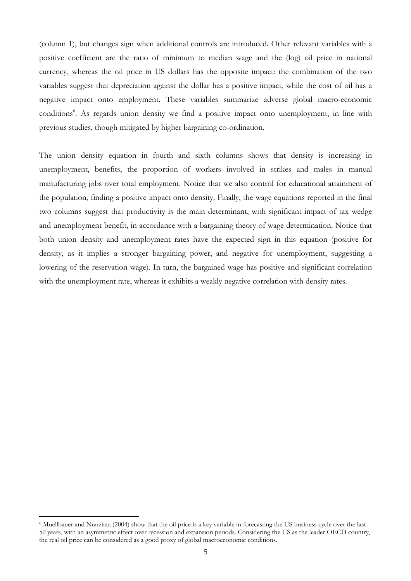(column 1), but changes sign when additional controls are introduced. Other relevant variables with a positive coefficient are the ratio of minimum to median wage and the (log) oil price in national currency, whereas the oil price in US dollars has the opposite impact: the combination of the two variables suggest that depreciation against the dollar has a positive impact, while the cost of oil has a negative impact onto employment. These variables summarize adverse global macro-economic conditions<sup>6</sup>. As regards union density we find a positive impact onto unemployment, in line with previous studies, though mitigated by higher bargaining co-ordination.

The union density equation in fourth and sixth columns shows that density is increasing in unemployment, benefits, the proportion of workers involved in strikes and males in manual manufacturing jobs over total employment. Notice that we also control for educational attainment of the population, finding a positive impact onto density. Finally, the wage equations reported in the final two columns suggest that productivity is the main determinant, with significant impact of tax wedge and unemployment benefit, in accordance with a bargaining theory of wage determination. Notice that both union density and unemployment rates have the expected sign in this equation (positive for density, as it implies a stronger bargaining power, and negative for unemployment, suggesting a lowering of the reservation wage). In turn, the bargained wage has positive and significant correlation with the unemployment rate, whereas it exhibits a weakly negative correlation with density rates.

<sup>6</sup> Muellbauer and Nunziata (2004) show that the oil price is a key variable in forecasting the US business cycle over the last 50 years, with an asymmetric effect over recession and expansion periods. Considering the US as the leader OECD country, the real oil price can be considered as a good proxy of global macroeconomic conditions.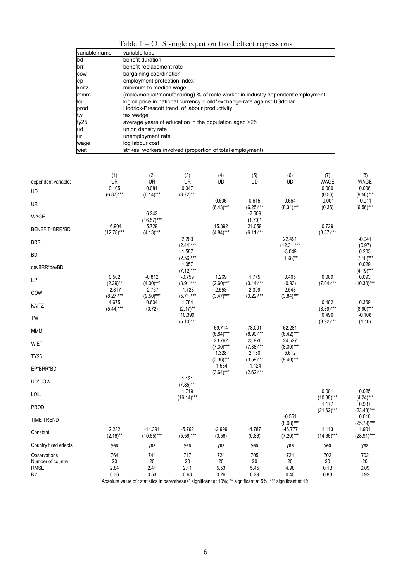| Table 1 – OLS single equation fixed effect regressions |  |
|--------------------------------------------------------|--|

|               | $\cdots$<br>$\cdots$                                                          |
|---------------|-------------------------------------------------------------------------------|
| variable name | variable label                                                                |
| bd            | benefit duration                                                              |
| brr           | benefit replacement rate                                                      |
| cow           | bargaining coordination                                                       |
| ep            | employment protection index                                                   |
| kaitz         | minimum to median wage                                                        |
| mmm           | (male/manual/manufacturing) % of male worker in industry dependent employment |
| loil          | log oil price in national currency = oild*exchange rate against USdollar      |
| prod          | Hodrick-Prescott trend of labour productivity                                 |
| tw            | tax wedge                                                                     |
| ty25          | average years of education in the population aged >25                         |
| ud            | union density rate                                                            |
| ur            | unemployment rate                                                             |
| wage          | log labour cost                                                               |
| wiet          | strikes, workers involved (proportion of total employment)                    |

| dependent variable:               | (1)<br><b>UR</b>        | (2)<br><b>UR</b>          | (3)<br><b>UR</b>        | (4)<br><b>UD</b>        | (5)<br><b>UD</b>        | (6)<br><b>UD</b>          | (7)<br><b>WAGE</b>    | (8)<br><b>WAGE</b>      |
|-----------------------------------|-------------------------|---------------------------|-------------------------|-------------------------|-------------------------|---------------------------|-----------------------|-------------------------|
| UD                                | 0.105<br>$(6.87)***$    | 0.081<br>$(6.14)***$      | 0.047<br>$(3.72)***$    |                         |                         |                           | 0.000<br>(0.56)       | 0.006<br>$(9.56)***$    |
| <b>UR</b>                         |                         |                           |                         | 0.606<br>$(6.43)***$    | 0.615<br>$(6.25)***$    | 0.664<br>$(8.34)***$      | $-0.001$<br>(0.36)    | $-0.011$<br>$(6.56)***$ |
| <b>WAGE</b>                       |                         | 6.242<br>$(16.57)***$     |                         |                         | $-2.609$<br>$(1.70)^*$  |                           |                       |                         |
| BENEFIT=BRR*BD                    | 16.904<br>$(12.78)***$  | 5.729<br>$(4.13)***$      |                         | 15.892<br>$(4.84)***$   | 21.059<br>$(6.11)***$   |                           | 0.729<br>$(8.87)***$  |                         |
| <b>BRR</b>                        |                         |                           | 2.203<br>$(2.44)***$    |                         |                         | 22.491<br>$(12.31***$     |                       | $-0.041$<br>(0.97)      |
| <b>BD</b>                         |                         |                           | 1.587<br>$(2.56)***$    |                         |                         | $-3.049$<br>$(1.98)$ **   |                       | 0.203<br>$(7.10)***$    |
| devBRR*devBD                      |                         |                           | 1.057<br>$(7.12)***$    |                         |                         |                           |                       | 0.029<br>$(4.19)***$    |
| EP                                | 0.502<br>$(2.29)$ **    | $-0.812$<br>$(4.00)$ ***  | $-0.759$<br>$(3.91)***$ | 1.269<br>$(2.60)$ ***   | 1.775<br>$(3.44)***$    | 0.405<br>(0.93)           | 0.089<br>$(7.04)$ *** | 0.093<br>$(10.30)***$   |
| COW                               | $-2.817$<br>$(8.27)***$ | $-2.767$<br>$(9.50)$ ***  | $-1.723$<br>$(5.71)***$ | 2.553<br>$(3.47)***$    | 2.399<br>$(3.22)***$    | 2.548<br>$(3.84)***$      |                       |                         |
| KAITZ                             | 4.675<br>$(5.44)***$    | 0.604<br>(0.72)           | 1.784<br>$(2.17)$ **    |                         |                         |                           | 0.482<br>$(8.39)***$  | 0.369<br>$(8.90)$ ***   |
| TW                                |                         |                           | 10.399<br>$(5.10)***$   |                         |                         |                           | 0.496<br>$(3.92)***$  | $-0.108$<br>(1.10)      |
| <b>MMM</b>                        |                         |                           |                         | 69.714<br>$(6.84)***$   | 78.001<br>$(6.90)$ ***  | 62.281<br>$(6.42)***$     |                       |                         |
| <b>WIET</b>                       |                         |                           |                         | 23.762<br>$(7.30)$ ***  | 23.976<br>$(7.38)***$   | 24.527<br>$(8.30)***$     |                       |                         |
| <b>TY25</b>                       |                         |                           |                         | 1.328<br>$(3.36)***$    | 2.130<br>$(3.59)***$    | 5.612<br>$(9.40)$ ***     |                       |                         |
| EP*BRR*BD                         |                         |                           |                         | $-1.534$<br>$(3.64)***$ | $-1.124$<br>$(2.62)***$ |                           |                       |                         |
| UD*COW                            |                         |                           | 1.121<br>$(7.85)***$    |                         |                         |                           |                       |                         |
| <b>LOIL</b>                       |                         |                           | 1.719<br>$(16.14)***$   |                         |                         |                           | 0.081<br>$(10.38)***$ | 0.025<br>$(4.24)***$    |
| <b>PROD</b>                       |                         |                           |                         |                         |                         |                           | 1.177<br>$(21.62)***$ | 0.937<br>$(23.48)***$   |
| <b>TIME TREND</b>                 |                         |                           |                         |                         |                         | $-0.551$<br>$(8.98)***$   |                       | 0.018<br>$(25.79)***$   |
| Constant                          | 2.282<br>$(2.16)$ **    | $-14.391$<br>$(10.65)***$ | $-5.762$<br>$(5.56)***$ | $-2.999$<br>(0.56)      | $-4.787$<br>(0.86)      | $-46.777$<br>$(7.20)$ *** | 1.113<br>$(14.66)***$ | 1.901<br>$(28.91)***$   |
| Country fixed effects             | yes                     | yes                       | yes                     | yes                     | yes                     | yes                       | yes                   | yes                     |
| Observations<br>Number of country | 764<br>20               | 744<br>20                 | 717<br>20               | 724<br>20               | 705<br>20               | 724<br>20                 | 702<br>20             | 702<br>20               |
| <b>RMSE</b><br>R <sub>2</sub>     | 2.84<br>0.36            | 2.41<br>0.53              | 2.11<br>0.63            | 5.53<br>0.26            | 5.45<br>0.29            | 4.98<br>0.40              | 0.13<br>0.83          | 0.09<br>0.92            |

Absolute value of t statistics in parentheses\* significant at 10%; \*\* significant at 5%; \*\*\* significant at 1%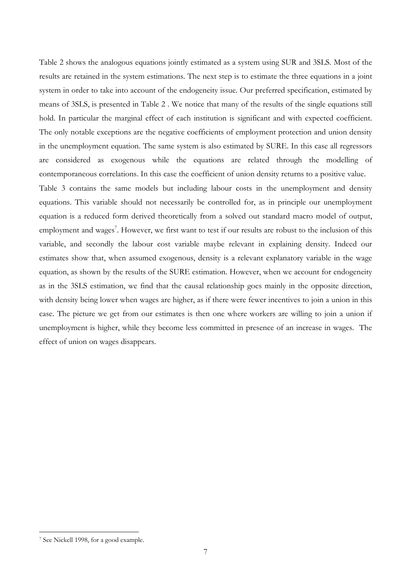Table 2 shows the analogous equations jointly estimated as a system using SUR and 3SLS. Most of the results are retained in the system estimations. The next step is to estimate the three equations in a joint system in order to take into account of the endogeneity issue. Our preferred specification, estimated by means of 3SLS, is presented in Table 2 . We notice that many of the results of the single equations still hold. In particular the marginal effect of each institution is significant and with expected coefficient. The only notable exceptions are the negative coefficients of employment protection and union density in the unemployment equation. The same system is also estimated by SURE. In this case all regressors are considered as exogenous while the equations are related through the modelling of contemporaneous correlations. In this case the coefficient of union density returns to a positive value.

Table 3 contains the same models but including labour costs in the unemployment and density equations. This variable should not necessarily be controlled for, as in principle our unemployment equation is a reduced form derived theoretically from a solved out standard macro model of output, employment and wages<sup>7</sup>. However, we first want to test if our results are robust to the inclusion of this variable, and secondly the labour cost variable maybe relevant in explaining density. Indeed our estimates show that, when assumed exogenous, density is a relevant explanatory variable in the wage equation, as shown by the results of the SURE estimation. However, when we account for endogeneity as in the 3SLS estimation, we find that the causal relationship goes mainly in the opposite direction, with density being lower when wages are higher, as if there were fewer incentives to join a union in this case. The picture we get from our estimates is then one where workers are willing to join a union if unemployment is higher, while they become less committed in presence of an increase in wages. The effect of union on wages disappears.

<sup>7</sup> See Nickell 1998, for a good example.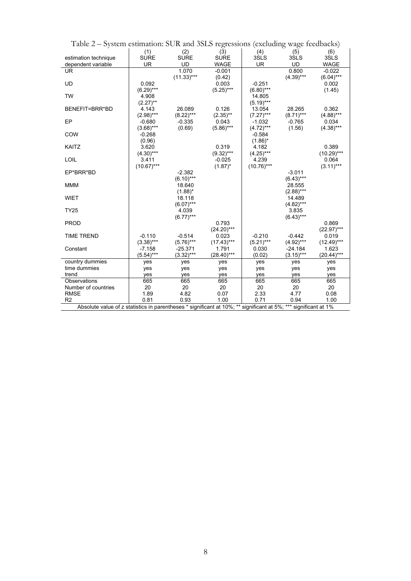| Table $2 -$ System esumation: SUR and SSLS regressions (excluding wage reedbacks)                               |              |              |               |              |             |              |  |  |  |  |  |
|-----------------------------------------------------------------------------------------------------------------|--------------|--------------|---------------|--------------|-------------|--------------|--|--|--|--|--|
|                                                                                                                 | (1)          | (2)          | (3)           | (4)          | (5)         | (6)          |  |  |  |  |  |
| estimation technique                                                                                            | <b>SURE</b>  | <b>SURE</b>  | <b>SURE</b>   | 3SLS         | 3SLS        | 3SLS         |  |  |  |  |  |
| dependent variable                                                                                              | <b>UR</b>    | UD           | <b>WAGE</b>   | <b>UR</b>    | <b>UD</b>   | <b>WAGE</b>  |  |  |  |  |  |
| <b>UR</b>                                                                                                       |              | 1.070        | $-0.001$      |              | 0.800       | $-0.022$     |  |  |  |  |  |
|                                                                                                                 |              | $(11.33)***$ | (0.42)        |              | $(4.39)***$ | $(6.04)***$  |  |  |  |  |  |
| UD                                                                                                              | 0.092        |              | 0.003         | $-0.251$     |             | 0.002        |  |  |  |  |  |
|                                                                                                                 | $(6.29)$ *** |              | $(5.25)***$   | $(6.80)$ *** |             | (1.45)       |  |  |  |  |  |
| <b>TW</b>                                                                                                       | 4.908        |              |               | 14.805       |             |              |  |  |  |  |  |
|                                                                                                                 | $(2.27)$ **  |              |               | $(5.19)***$  |             |              |  |  |  |  |  |
| BENEFIT=BRR*BD                                                                                                  | 4.143        | 26.089       | 0.126         | 13.054       | 28.265      | 0.362        |  |  |  |  |  |
|                                                                                                                 | $(2.98)***$  | $(8.22)***$  | $(2.35)$ **   | $(7.27)***$  | $(8.71)***$ | $(4.88)***$  |  |  |  |  |  |
| EP                                                                                                              | $-0.680$     | $-0.335$     | 0.043         | $-1.032$     | $-0.765$    | 0.034        |  |  |  |  |  |
|                                                                                                                 | $(3.68)***$  |              |               |              | (1.56)      |              |  |  |  |  |  |
|                                                                                                                 |              | (0.69)       | $(5.86)***$   | $(4.72)***$  |             | $(4.38)***$  |  |  |  |  |  |
| COW                                                                                                             | $-0.268$     |              |               | $-0.584$     |             |              |  |  |  |  |  |
|                                                                                                                 | (0.96)       |              |               | $(1.86)^*$   |             |              |  |  |  |  |  |
| KAITZ                                                                                                           | 3.620        |              | 0.319         | 4.182        |             | 0.389        |  |  |  |  |  |
|                                                                                                                 | $(4.30)$ *** |              | $(9.32)***$   | $(4.25)***$  |             | $(10.29)***$ |  |  |  |  |  |
| LOIL                                                                                                            | 3.411        |              | $-0.025$      | 4.239        |             | 0.064        |  |  |  |  |  |
|                                                                                                                 | $(10.67)***$ |              | $(1.87)^*$    | $(10.76)***$ |             | $(3.11)***$  |  |  |  |  |  |
| EP*BRR*BD                                                                                                       |              | $-2.382$     |               |              | $-3.011$    |              |  |  |  |  |  |
|                                                                                                                 |              | $(6.10)***$  |               |              | $(6.43)***$ |              |  |  |  |  |  |
| <b>MMM</b>                                                                                                      |              | 18.640       |               |              | 28.555      |              |  |  |  |  |  |
|                                                                                                                 |              | $(1.88)^*$   |               |              | $(2.88)***$ |              |  |  |  |  |  |
| <b>WIET</b>                                                                                                     |              | 18.118       |               |              | 14.489      |              |  |  |  |  |  |
|                                                                                                                 |              | $(6.07)$ *** |               |              | $(4.82)***$ |              |  |  |  |  |  |
| <b>TY25</b>                                                                                                     |              | 4.039        |               |              | 3.835       |              |  |  |  |  |  |
|                                                                                                                 |              | $(6.77)***$  |               |              | $(6.43)***$ |              |  |  |  |  |  |
| <b>PROD</b>                                                                                                     |              |              | 0.793         |              |             | 0.869        |  |  |  |  |  |
|                                                                                                                 |              |              | $(24.20)***$  |              |             | $(22.97)***$ |  |  |  |  |  |
| <b>TIME TREND</b>                                                                                               | $-0.110$     | $-0.514$     | 0.023         | $-0.210$     | $-0.442$    | 0.019        |  |  |  |  |  |
|                                                                                                                 | $(3.38)***$  | $(5.76)***$  | $(17.43)***$  | $(5.21)***$  | $(4.92)***$ | $(12.49)***$ |  |  |  |  |  |
| Constant                                                                                                        | -7.158       | -25.371      | 1.791         | 0.030        | -24.184     | 1.623        |  |  |  |  |  |
|                                                                                                                 | $(5.54)***$  | $(3.32)***$  | $(28.40)$ *** | (0.02)       | $(3.15)***$ | $(20.44)***$ |  |  |  |  |  |
| country dummies                                                                                                 | yes          | yes          | yes           | yes          | yes         | yes          |  |  |  |  |  |
| time dummies                                                                                                    | yes          | yes          | yes           | yes          | yes         | yes          |  |  |  |  |  |
| trend                                                                                                           | yes          | yes          | yes           | yes          | yes         | yes          |  |  |  |  |  |
| Observations                                                                                                    | 665          | 665          | 665           | 665          | 665         | 665          |  |  |  |  |  |
| Number of countries                                                                                             | 20           | 20           | 20            | 20           | 20          | 20           |  |  |  |  |  |
| <b>RMSE</b>                                                                                                     | 1.89         | 4.82         | 0.07          | 2.33         | 4.77        | 0.08         |  |  |  |  |  |
| R <sub>2</sub>                                                                                                  | 0.81         | 0.93         | 1.00          | 0.71         | 0.94        | 1.00         |  |  |  |  |  |
| Absolute value of z statistics in parentheses * significant at 10%; ** significant at 5%; *** significant at 1% |              |              |               |              |             |              |  |  |  |  |  |
|                                                                                                                 |              |              |               |              |             |              |  |  |  |  |  |

Table 2 – System estimation: SUR and 3SLS regressions (excluding wage feedbacks)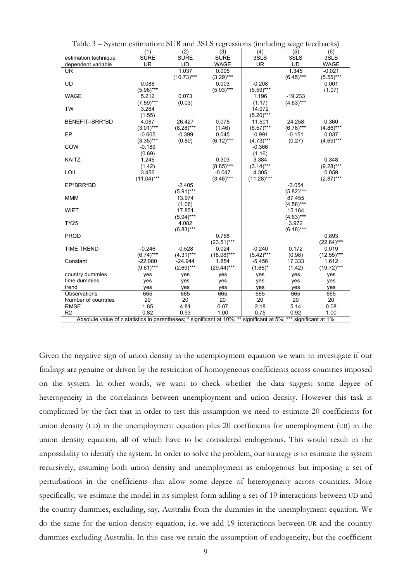| Table 5 – System estimation: SUR and SSLS regressions (including wage reedbacks)                                 |              |                  |              |              |             |              |  |  |  |  |  |
|------------------------------------------------------------------------------------------------------------------|--------------|------------------|--------------|--------------|-------------|--------------|--|--|--|--|--|
|                                                                                                                  | (1)          | (2)              | (3)          | (4)          | (5)         | (6)          |  |  |  |  |  |
| estimation technique                                                                                             | <b>SURE</b>  | <b>SURE</b>      | <b>SURE</b>  | 3SLS         | 3SLS        | 3SLS         |  |  |  |  |  |
| dependent variable                                                                                               | <b>UR</b>    | <b>UD</b>        | <b>WAGE</b>  | <b>UR</b>    | <b>UD</b>   | <b>WAGE</b>  |  |  |  |  |  |
| <b>UR</b>                                                                                                        |              | 1.037            | 0.005        |              | 1.345       | $-0.021$     |  |  |  |  |  |
|                                                                                                                  |              | $(10.73)***$     | $(3.29)***$  |              | $(6.45)***$ | $(5.55)***$  |  |  |  |  |  |
| <b>UD</b>                                                                                                        | 0.086        |                  | 0.003        | $-0.208$     |             | 0.001        |  |  |  |  |  |
|                                                                                                                  | $(5.98)***$  |                  | $(5.03)***$  | $(5.59)$ *** |             | (1.07)       |  |  |  |  |  |
| <b>WAGE</b>                                                                                                      | 5.212        | 0.073            |              | 1.196        | $-19.233$   |              |  |  |  |  |  |
|                                                                                                                  | $(7.59)***$  | (0.03)           |              | (1.17)       | $(4.63)***$ |              |  |  |  |  |  |
| <b>TW</b>                                                                                                        | 3.264        |                  |              | 14.972       |             |              |  |  |  |  |  |
|                                                                                                                  | (1.55)       |                  |              | $(5.20)***$  |             |              |  |  |  |  |  |
| BENEFIT=BRR*BD                                                                                                   | 4.087        | 26.427           | 0.078        | 11.501       | 24.258      | 0.360        |  |  |  |  |  |
|                                                                                                                  | $(3.01)***$  | $(8.28)***$      | (1.46)       | $(6.57)$ *** | $(6.78)***$ | $(4.86)***$  |  |  |  |  |  |
| EP                                                                                                               | $-0.605$     | $-0.399$         | 0.045        | $-0.991$     | $-0.151$    | 0.037        |  |  |  |  |  |
|                                                                                                                  | $(3.35)***$  | (0.80)           | $(6.12)***$  | $(4.73)***$  | (0.27)      | $(4.69)$ *** |  |  |  |  |  |
| COW                                                                                                              | $-0.189$     |                  |              | $-0.366$     |             |              |  |  |  |  |  |
|                                                                                                                  | (0.69)       |                  |              | (1.16)       |             |              |  |  |  |  |  |
| KAITZ                                                                                                            | 1.246        |                  | 0.303        | 3.384        |             | 0.348        |  |  |  |  |  |
|                                                                                                                  | (1.42)       |                  | $(8.85)***$  | $(3.14)***$  |             | $(9.28)***$  |  |  |  |  |  |
| LOIL                                                                                                             | 3.456        |                  | $-0.047$     | 4.305        |             | 0.059        |  |  |  |  |  |
|                                                                                                                  | $(11.04)***$ |                  | $(3.46)***$  | $(11.28)***$ |             | $(2.87)$ *** |  |  |  |  |  |
| EP*BRR*BD                                                                                                        |              | $-2.405$         |              |              | $-3.054$    |              |  |  |  |  |  |
|                                                                                                                  |              | $(5.91)***$      |              |              | $(5.82)***$ |              |  |  |  |  |  |
| <b>MMM</b>                                                                                                       |              | 13.974           |              |              |             |              |  |  |  |  |  |
|                                                                                                                  |              |                  |              |              | 87.455      |              |  |  |  |  |  |
| <b>WIET</b>                                                                                                      |              | (1.06)<br>17.851 |              |              | $(4.58)***$ |              |  |  |  |  |  |
|                                                                                                                  |              |                  |              |              | 15.164      |              |  |  |  |  |  |
|                                                                                                                  |              | $(5.94)***$      |              |              | $(4.63)***$ |              |  |  |  |  |  |
| <b>TY25</b>                                                                                                      |              | 4.082            |              |              | 3.972       |              |  |  |  |  |  |
|                                                                                                                  |              | $(6.83)***$      |              |              | $(6.18)***$ |              |  |  |  |  |  |
| PROD                                                                                                             |              |                  | 0.768        |              |             | 0.893        |  |  |  |  |  |
|                                                                                                                  |              |                  | $(23.51)***$ |              |             | $(22.64)***$ |  |  |  |  |  |
| <b>TIME TREND</b>                                                                                                | $-0.246$     | $-0.528$         | 0.024        | $-0.240$     | 0.172       | 0.019        |  |  |  |  |  |
|                                                                                                                  | $(6.74)***$  | $(4.31)***$      | $(18.08)***$ | $(5.42)***$  | (0.98)      | $(12.55)***$ |  |  |  |  |  |
| Constant                                                                                                         | $-22.080$    | $-24.944$        | 1.854        | -5.456       | 17.333      | 1.612        |  |  |  |  |  |
|                                                                                                                  | $(9.61)***$  | $(2.69)***$      | $(29.44)***$ | $(1.66)^*$   | (1.42)      | $(19.72)***$ |  |  |  |  |  |
| country dummies                                                                                                  | yes          | yes              | yes          | yes          | yes         | yes          |  |  |  |  |  |
| time dummies                                                                                                     | yes          | yes              | yes          | yes          | yes         | yes          |  |  |  |  |  |
| trend                                                                                                            | yes          | yes              | yes          | yes          | yes         | yes          |  |  |  |  |  |
| Observations                                                                                                     | 665          | 665              | 665          | 665          | 665         | 665          |  |  |  |  |  |
| Number of countries                                                                                              | 20           | 20               | 20           | 20           | 20          | 20           |  |  |  |  |  |
| <b>RMSE</b>                                                                                                      | 1.85         | 4.81             | 0.07         | 2.18         | 5.14        | 0.08         |  |  |  |  |  |
| R <sub>2</sub>                                                                                                   | 0.82         | 0.93             | 1.00         | 0.75         | 0.92        | 1.00         |  |  |  |  |  |
| Absolute value of z statistics in parentheses; * significant at 10%; ** significant at 5%; *** significant at 1% |              |                  |              |              |             |              |  |  |  |  |  |

Table 3 – System estimation: SUR and 3SLS regressions (including wage feedbacks)

Given the negative sign of union density in the unemployment equation we want to investigate if our findings are genuine or driven by the restriction of homogeneous coefficients across countries imposed on the system. In other words, we want to check whether the data suggest some degree of heterogeneity in the correlations between unemployment and union density. However this task is complicated by the fact that in order to test this assumption we need to estimate 20 coefficients for union density (UD) in the unemployment equation plus 20 coefficients for unemployment (UR) in the union density equation, all of which have to be considered endogenous. This would result in the impossibility to identify the system. In order to solve the problem, our strategy is to estimate the system recursively, assuming both union density and unemployment as endogenous but imposing a set of perturbations in the coefficients that allow some degree of heterogeneity across countries. More specifically, we estimate the model in its simplest form adding a set of 19 interactions between UD and the country dummies, excluding, say, Australia from the dummies in the unemployment equation. We do the same for the union density equation, i.e. we add 19 interactions between UR and the country dummies excluding Australia. In this case we retain the assumption of endogeneity, but the coefficient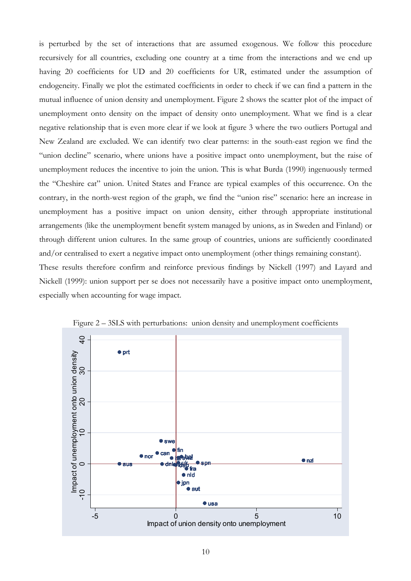is perturbed by the set of interactions that are assumed exogenous. We follow this procedure recursively for all countries, excluding one country at a time from the interactions and we end up having 20 coefficients for UD and 20 coefficients for UR, estimated under the assumption of endogeneity. Finally we plot the estimated coefficients in order to check if we can find a pattern in the mutual influence of union density and unemployment. Figure 2 shows the scatter plot of the impact of unemployment onto density on the impact of density onto unemployment. What we find is a clear negative relationship that is even more clear if we look at figure 3 where the two outliers Portugal and New Zealand are excluded. We can identify two clear patterns: in the south-east region we find the "union decline" scenario, where unions have a positive impact onto unemployment, but the raise of unemployment reduces the incentive to join the union. This is what Burda (1990) ingenuously termed the "Cheshire cat" union. United States and France are typical examples of this occurrence. On the contrary, in the north-west region of the graph, we find the "union rise" scenario: here an increase in unemployment has a positive impact on union density, either through appropriate institutional arrangements (like the unemployment benefit system managed by unions, as in Sweden and Finland) or through different union cultures. In the same group of countries, unions are sufficiently coordinated and/or centralised to exert a negative impact onto unemployment (other things remaining constant). These results therefore confirm and reinforce previous findings by Nickell (1997) and Layard and Nickell (1999): union support per se does not necessarily have a positive impact onto unemployment, especially when accounting for wage impact.



Figure 2 – 3SLS with perturbations: union density and unemployment coefficients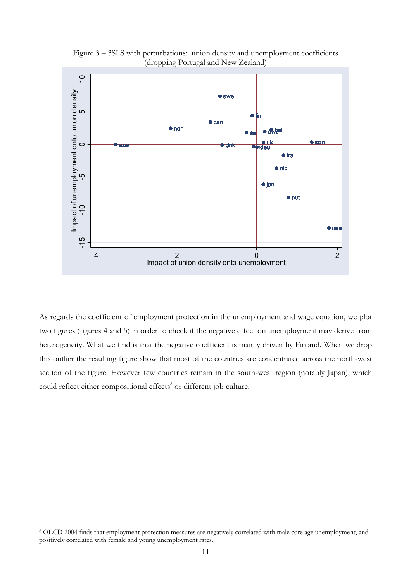

Figure 3 – 3SLS with perturbations: union density and unemployment coefficients (dropping Portugal and New Zealand)

As regards the coefficient of employment protection in the unemployment and wage equation, we plot two figures (figures 4 and 5) in order to check if the negative effect on unemployment may derive from heterogeneity. What we find is that the negative coefficient is mainly driven by Finland. When we drop this outlier the resulting figure show that most of the countries are concentrated across the north-west section of the figure. However few countries remain in the south-west region (notably Japan), which could reflect either compositional effects<sup>8</sup> or different job culture.

<sup>8</sup> OECD 2004 finds that employment protection measures are negatively correlated with male core age unemployment, and positively correlated with female and young unemployment rates.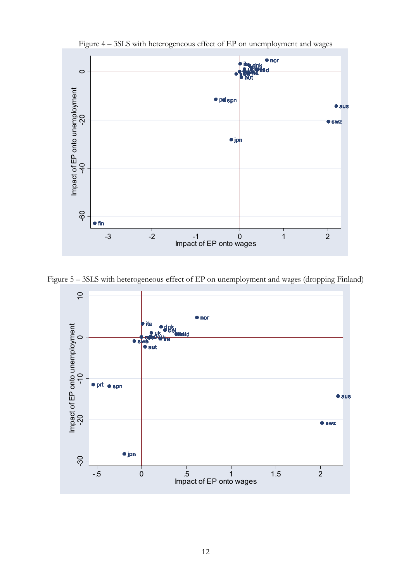

Figure 4 – 3SLS with heterogeneous effect of EP on unemployment and wages

Figure 5 – 3SLS with heterogeneous effect of EP on unemployment and wages (dropping Finland)

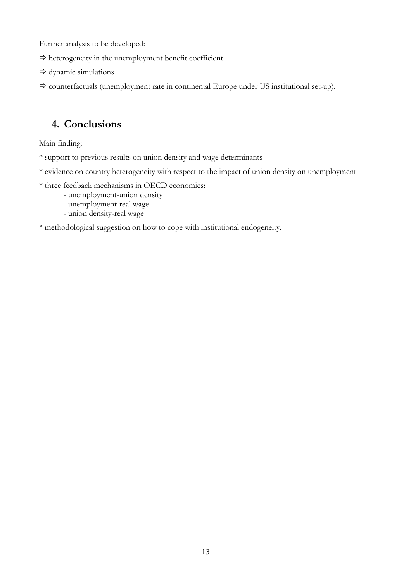Further analysis to be developed:

- $\Rightarrow$  heterogeneity in the unemployment benefit coefficient
- $\Rightarrow$  dynamic simulations
- $\Rightarrow$  counterfactuals (unemployment rate in continental Europe under US institutional set-up).

## **4. Conclusions**

Main finding:

- \* support to previous results on union density and wage determinants
- \* evidence on country heterogeneity with respect to the impact of union density on unemployment
- \* three feedback mechanisms in OECD economies:
	- unemployment-union density
	- unemployment-real wage
	- union density-real wage

#### \* methodological suggestion on how to cope with institutional endogeneity.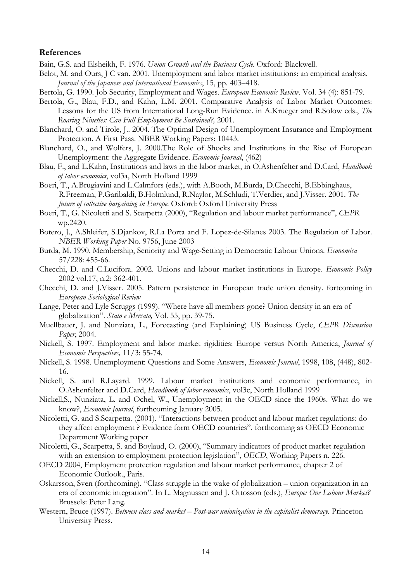#### **References**

Bain, G.S. and Elsheikh, F. 1976. *Union Growth and the Business Cycle*. Oxford: Blackwell.

- Belot, M. and Ours, J C van. 2001. Unemployment and labor market institutions: an empirical analysis. *Journal of the Japanese and International Economics*, 15, pp. 403–418.
- Bertola, G. 1990. Job Security, Employment and Wages. *European Economic Review.* Vol. 34 (4): 851-79*.*
- Bertola, G., Blau, F.D., and Kahn, L.M. 2001. Comparative Analysis of Labor Market Outcomes: Lessons for the US from International Long-Run Evidence. in A.Krueger and R.Solow eds., *The Roaring Nineties: Can Full Employment Be Sustained?,* 2001.
- Blanchard, O. and Tirole, J.. 2004. The Optimal Design of Unemployment Insurance and Employment Protection. A First Pass. NBER Working Papers: 10443.
- Blanchard, O., and Wolfers, J. 2000.The Role of Shocks and Institutions in the Rise of European Unemployment: the Aggregate Evidence. *Economic Journal*, (462)
- Blau, F., and L.Kahn, Institutions and laws in the labor market, in O.Ashenfelter and D.Card, *Handbook of labor economics*, vol3a, North Holland 1999
- Boeri, T., A.Brugiavini and L.Calmfors (eds.), with A.Booth, M.Burda, D.Checchi, B.Ebbinghaus, R.Freeman, P.Garibaldi, B.Holmlund, R.Naylor, M.Schludi, T.Verdier, and J.Visser. 2001. *The future of collective bargaining in Europe*. Oxford: Oxford University Press
- Boeri, T., G. Nicoletti and S. Scarpetta (2000), "Regulation and labour market performance", *CEPR* wp.2420.
- Botero, J., A.Shleifer, S.Djankov, R.La Porta and F. Lopez-de-Silanes 2003. The Regulation of Labor. *NBER Working Paper* No. 9756, June 2003
- Burda, M. 1990. Membership, Seniority and Wage-Setting in Democratic Labour Unions. *Economica*  57/228: 455-66.
- Checchi, D. and C.Lucifora. 2002. Unions and labour market institutions in Europe. *Economic Policy*  2002 vol.17, n.2: 362-401.
- Checchi, D. and J.Visser. 2005. Pattern persistence in European trade union density. fortcoming in *European Sociological Review*
- Lange, Peter and Lyle Scruggs (1999). "Where have all members gone? Union density in an era of globalization". *Stato e Mercato,* Vol. 55, pp. 39-75.
- Muellbauer, J. and Nunziata, L., Forecasting (and Explaining) US Business Cycle, *CEPR Discussion Paper*, 2004.
- Nickell, S. 1997. Employment and labor market rigidities: Europe versus North America, *Journal of Economic Perspectives,* 11/3: 55-74.
- Nickell, S. 1998. Unemployment: Questions and Some Answers, *Economic Journal*, 1998, 108, (448), 802- 16.
- Nickell, S. and R.Layard. 1999. Labour market institutions and economic performance, in O.Ashenfelter and D.Card, *Handbook of labor economics*, vol3c, North Holland 1999
- Nickell,S., Nunziata, L. and Ochel, W., Unemployment in the OECD since the 1960s. What do we know?, *Economic Journal*, forthcoming January 2005.
- Nicoletti, G. and S.Scarpetta. (2001). "Interactions between product and labour market regulations: do they affect employment ? Evidence form OECD countries". forthcoming as OECD Economic Department Working paper
- Nicoletti, G., Scarpetta, S. and Boylaud, O. (2000), "Summary indicators of product market regulation with an extension to employment protection legislation", *OECD*, Working Papers n. 226.
- OECD 2004, Employment protection regulation and labour market performance, chapter 2 of Economic Outlook., Paris.
- Oskarsson, Sven (forthcoming). "Class struggle in the wake of globalization union organization in an era of economic integration". In L. Magnussen and J. Ottosson (eds.), *Europe: One Labour Market?* Brussels: Peter Lang.
- Western, Bruce (1997). *Between class and market Post-war unionization in the capitalist democracy*. Princeton University Press.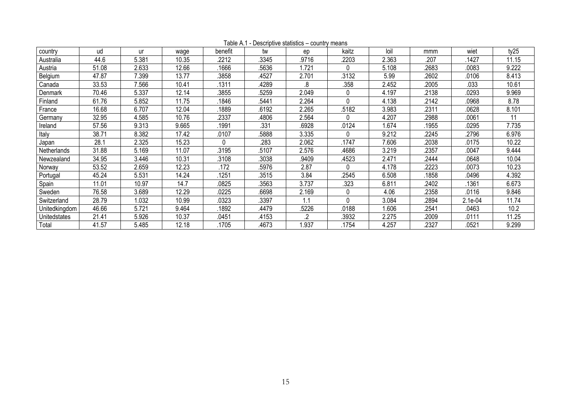| country       | ud    | ur    | wage  | benefit | tw    | ep    | kaitz    | loil  | mmm   | wiet    | ty25  |
|---------------|-------|-------|-------|---------|-------|-------|----------|-------|-------|---------|-------|
| Australia     | 44.6  | 5.381 | 10.35 | .2212   | .3345 | .9716 | .2203    | 2.363 | .207  | .1427   | 11.15 |
| Austria       | 51.08 | 2.633 | 12.66 | 1666    | .5636 | .721  | $\Omega$ | 5.108 | 2683  | .0083   | 9.222 |
| Belgium       | 47.87 | 7.399 | 13.77 | .3858   | 4527  | 2.701 | .3132    | 5.99  | 2602  | .0106   | 8.413 |
| Canada        | 33.53 | 7.566 | 10.41 | .1311   | 4289  | .8    | .358     | 2.452 | 2005  | .033    | 10.61 |
| Denmark       | 70.46 | 5.337 | 12.14 | .3855   | 5259  | 2.049 | 0        | 4.197 | 2138  | 0293    | 9.969 |
| Finland       | 61.76 | 5.852 | 11.75 | 1846    | 5441  | 2.264 | $\Omega$ | 4.138 | 2142  | 0968    | 8.78  |
| France        | 16.68 | 6.707 | 12.04 | 1889    | .6192 | 2.265 | .5182    | 3.983 | 2311  | 0628    | 8.101 |
| Germany       | 32.95 | 4.585 | 10.76 | .2337   | 4806  | 2.564 | $\Omega$ | 4.207 | 2988  | .0061   | 11    |
| Ireland       | 57.56 | 9.313 | 9.665 | 1991.   | .331  | .6928 | .0124    | 1.674 | 1955  | 0295    | 7.735 |
| Italy         | 38.71 | 8.382 | 17.42 | .0107   | .5888 | 3.335 | 0        | 9.212 | 2245  | .2796   | 6.976 |
| Japan         | 28.1  | 2.325 | 15.23 | U       | .283  | 2.062 | .1747    | 7.606 | 2038  | .0175   | 10.22 |
| Netherlands   | 31.88 | 5.169 | 11.07 | 3195    | .5107 | 2.576 | .4686    | 3.219 | 2357  | .0047   | 9.444 |
| Newzealand    | 34.95 | 3.446 | 10.31 | .3108   | .3038 | .9409 | .4523    | 2.471 | .2444 | 0648    | 10.04 |
| Norway        | 53.52 | 2.659 | 12.23 | 172     | .5976 | 2.87  | 0        | 4.178 | 2223  | .0073   | 10.23 |
| Portugal      | 45.24 | 5.531 | 14.24 | 1251    | .3515 | 3.84  | .2545    | 6.508 | 1858  | .0496   | 4.392 |
| Spain         | 11.01 | 10.97 | 14.7  | .0825   | .3563 | 3.737 | .323     | 6.811 | 2402  | 1361    | 6.673 |
| Sweden        | 76.58 | 3.689 | 12.29 | 0225    | .6698 | 2.169 | 0        | 4.06  | 2358  | .0116   | 9.846 |
| Switzerland   | 28.79 | 1.032 | 10.99 | .0323   | .3397 | 1.1   | $\Omega$ | 3.084 | 2894  | 2.1e-04 | 11.74 |
| Unitedkingdom | 46.66 | 5.721 | 9.464 | 1892    | 4479. | .5226 | .0188    | .606  | 2541  | .0463   | 10.2  |
| Unitedstates  | 21.41 | 5.926 | 10.37 | .0451   | .4153 | 2     | .3932    | 2.275 | 2009  | .0111   | 11.25 |
| Total         | 41.57 | 5.485 | 12.18 | .1705   | 4673  | 1.937 | .1754    | 4.257 | .2327 | .0521   | 9.299 |

Table A.1 - Descriptive statistics – country means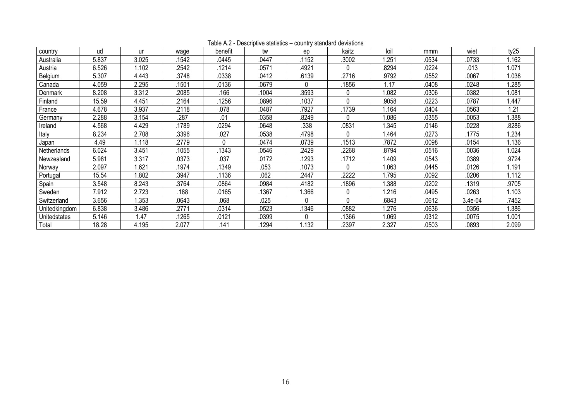| country       | ud    | ur    | wage  | benefit | tw    | ep    | kaitz    | loil  | mmm   | wiet    | ty25  |
|---------------|-------|-------|-------|---------|-------|-------|----------|-------|-------|---------|-------|
| Australia     | 5.837 | 3.025 | .1542 | .0445   | .0447 | 1152  | .3002    | 1.251 | .0534 | .0733   | 1.162 |
| Austria       | 6.526 | 1.102 | 2542  | .1214   | .0571 | .4921 |          | 8294  | 0224  | .013    | 1.071 |
| Belgium       | 5.307 | 4.443 | .3748 | .0338   | .0412 | .6139 | 2716     | .9792 | .0552 | .0067   | 1.038 |
| Canada        | 4.059 | 2.295 | 1501  | .0136   | .0679 | 0     | 1856     | l.17  | 0408  | 0248    | 1.285 |
| Denmark       | 8.208 | 3.312 | 2085  | .166    | .1004 | 3593  |          | 1.082 | 0306  | .0382   | 1.081 |
| Finland       | 15.59 | 4.451 | .2164 | 1256    | .0896 | 1037  | $\Omega$ | .9058 | .0223 | .0787   | 1.447 |
| France        | 4.678 | 3.937 | .2118 | .078    | .0487 | 7927  | 1739     | 1.164 | .0404 | .0563   | 1.21  |
| Germany       | 2.288 | 3.154 | .287  | .01     | .0358 | 8249  |          | 1.086 | 0355  | .0053   | 1.388 |
| Ireland       | 4.568 | 4.429 | 1789  | .0294   | .0648 | .338  | .0831    | .345  | .0146 | .0228   | .8286 |
| Italy         | 8.234 | 2.708 | 3396  | .027    | .0538 | .4798 |          | 1.464 | .0273 | .1775   | 1.234 |
| Japan         | 4.49  | 1.118 | .2779 | 0       | .0474 | 0739  | 1513     | .7872 | .0098 | .0154   | 1.136 |
| Netherlands   | 6.024 | 3.451 | .1055 | .1343   | .0546 | .2429 | 2268     | .8794 | .0516 | .0036   | 1.024 |
| Newzealand    | 5.981 | 3.317 | .0373 | .037    | .0172 | .1293 | .1712    | .409  | .0543 | .0389   | .9724 |
| Norway        | 2.097 | 1.621 | 1974  | 1349    | .053  | 1073  | $\Omega$ | 1.063 | .0445 | .0126   | 1.191 |
| Portugal      | 15.54 | .802  | .3947 | .1136   | .062  | 2447  | 2222     | .795  | 0092  | .0206   | 1.112 |
| Spain         | 3.548 | 8.243 | .3764 | .0864   | .0984 | .4182 | .1896    | .388  | .0202 | .1319   | .9705 |
| Sweden        | 7.912 | 2.723 | .188  | .0165   | 1367  | 1.366 |          | .216  | 0495  | .0263   | 1.103 |
| Switzerland   | 3.656 | 1.353 | .0643 | .068    | .025  | 0     | $\Omega$ | 6843  | 0612  | 3.4e-04 | .7452 |
| Unitedkingdom | 6.838 | 3.486 | .2771 | .0314   | .0523 | .1346 | .0882    | 1.276 | .0636 | .0356   | 1.386 |
| Unitedstates  | 5.146 | l.47  | 1265  | .0121   | .0399 | 0     | .1366    | 1.069 | .0312 | .0075   | 1.001 |
| Total         | 18.28 | 4.195 | 2.077 | .141    | 1294  | 1.132 | 2397     | 2.327 | .0503 | .0893   | 2.099 |

Table A.2 - Descriptive statistics – country standard deviations